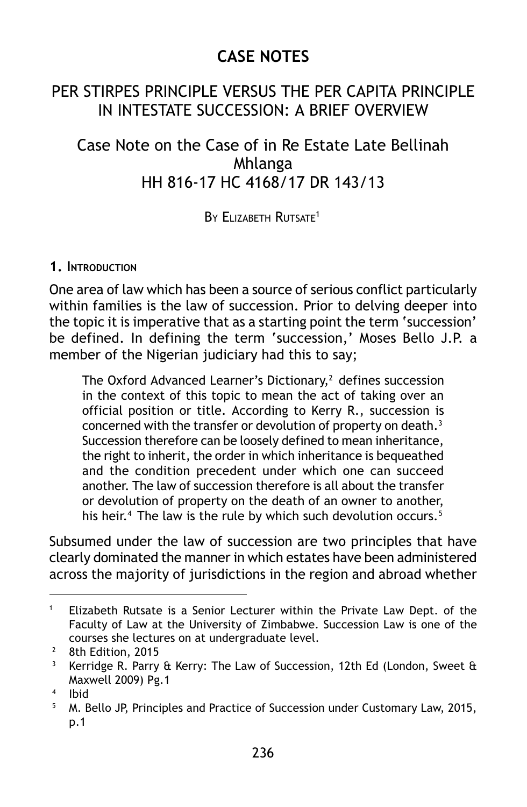# **CASE NOTES**

## PER STIRPES PRINCIPLE VERSUS THE PER CAPITA PRINCIPLE IN INTESTATE SUCCESSION: A BRIEF OVERVIEW

## Case Note on the Case of in Re Estate Late Bellinah Mhlanga HH 816-17 HC 4168/17 DR 143/13

BY ELIZABETH RUTSATE<sup>1</sup>

#### **1. INTRODUCTION**

One area of law which has been a source of serious conflict particularly within families is the law of succession. Prior to delving deeper into the topic it is imperative that as a starting point the term 'succession' be defined. In defining the term 'succession,' Moses Bello J.P. a member of the Nigerian judiciary had this to say;

The Oxford Advanced Learner's Dictionary, $2$  defines succession in the context of this topic to mean the act of taking over an official position or title. According to Kerry R., succession is concerned with the transfer or devolution of property on death.<sup>3</sup> Succession therefore can be loosely defined to mean inheritance, the right to inherit, the order in which inheritance is bequeathed and the condition precedent under which one can succeed another. The law of succession therefore is all about the transfer or devolution of property on the death of an owner to another, his heir.<sup>4</sup> The law is the rule by which such devolution occurs.<sup>5</sup>

Subsumed under the law of succession are two principles that have clearly dominated the manner in which estates have been administered across the majority of jurisdictions in the region and abroad whether

<sup>&</sup>lt;sup>1</sup> Elizabeth Rutsate is a Senior Lecturer within the Private Law Dept. of the Faculty of Law at the University of Zimbabwe. Succession Law is one of the courses she lectures on at undergraduate level.

<sup>&</sup>lt;sup>2</sup> 8th Edition, 2015<br><sup>3</sup> Kerridge R, Parry

Kerridge R. Parry & Kerry: The Law of Succession, 12th Ed (London, Sweet & Maxwell 2009) Pg.1

 $^{4}$  Ibid

<sup>5</sup> M. Bello JP, Principles and Practice of Succession under Customary Law, 2015, p.1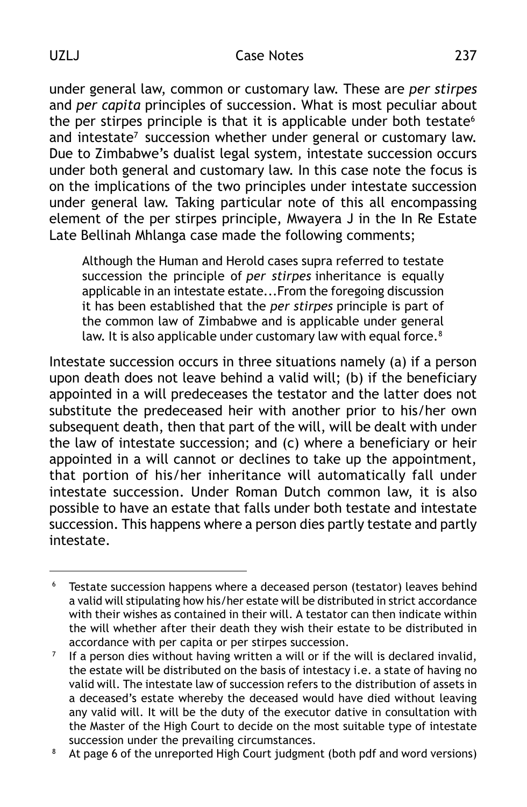under general law, common or customary law. These are *per stirpes* and *per capita* principles of succession. What is most peculiar about the per stirpes principle is that it is applicable under both testate $6$ and intestate<sup>7</sup> succession whether under general or customary law. Due to Zimbabwe's dualist legal system, intestate succession occurs under both general and customary law. In this case note the focus is on the implications of the two principles under intestate succession under general law. Taking particular note of this all encompassing element of the per stirpes principle, Mwayera J in the In Re Estate Late Bellinah Mhlanga case made the following comments;

Although the Human and Herold cases supra referred to testate succession the principle of *per stirpes* inheritance is equally applicable in an intestate estate...From the foregoing discussion it has been established that the *per stirpes* principle is part of the common law of Zimbabwe and is applicable under general law. It is also applicable under customary law with equal force.<sup>8</sup>

Intestate succession occurs in three situations namely (a) if a person upon death does not leave behind a valid will; (b) if the beneficiary appointed in a will predeceases the testator and the latter does not substitute the predeceased heir with another prior to his/her own subsequent death, then that part of the will, will be dealt with under the law of intestate succession; and (c) where a beneficiary or heir appointed in a will cannot or declines to take up the appointment, that portion of his/her inheritance will automatically fall under intestate succession. Under Roman Dutch common law, it is also possible to have an estate that falls under both testate and intestate succession. This happens where a person dies partly testate and partly intestate.

<sup>&</sup>lt;sup>6</sup> Testate succession happens where a deceased person (testator) leaves behind a valid will stipulating how his/her estate will be distributed in strict accordance with their wishes as contained in their will. A testator can then indicate within the will whether after their death they wish their estate to be distributed in accordance with per capita or per stirpes succession.

 $7$  If a person dies without having written a will or if the will is declared invalid, the estate will be distributed on the basis of intestacy i.e. a state of having no valid will. The intestate law of succession refers to the distribution of assets in a deceased's estate whereby the deceased would have died without leaving any valid will. It will be the duty of the executor dative in consultation with the Master of the High Court to decide on the most suitable type of intestate succession under the prevailing circumstances.

<sup>&</sup>lt;sup>8</sup> At page 6 of the unreported High Court judgment (both pdf and word versions)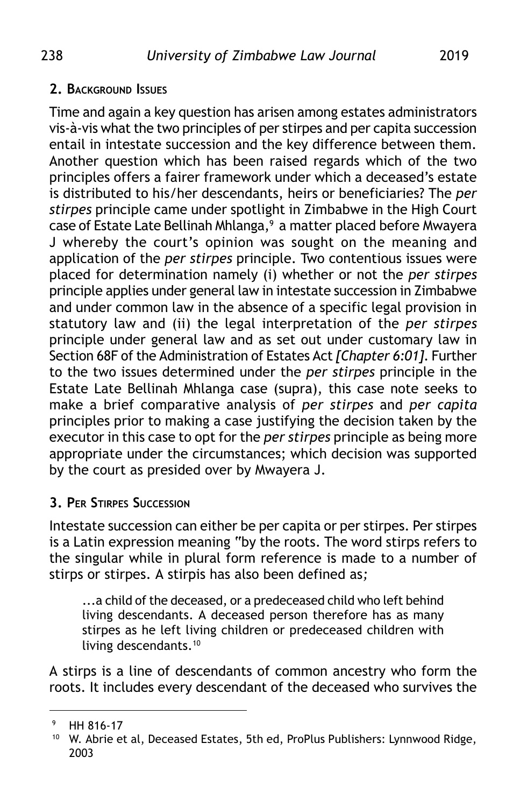### **2. BACKGROUND ISSUES**

Time and again a key question has arisen among estates administrators vis-à-vis what the two principles of per stirpes and per capita succession entail in intestate succession and the key difference between them. Another question which has been raised regards which of the two principles offers a fairer framework under which a deceased's estate is distributed to his/her descendants, heirs or beneficiaries? The *per stirpes* principle came under spotlight in Zimbabwe in the High Court case of Estate Late Bellinah Mhlanga,<sup>9</sup> a matter placed before Mwayera J whereby the court's opinion was sought on the meaning and application of the *per stirpes* principle. Two contentious issues were placed for determination namely (i) whether or not the *per stirpes* principle applies under general law in intestate succession in Zimbabwe and under common law in the absence of a specific legal provision in statutory law and (ii) the legal interpretation of the *per stirpes* principle under general law and as set out under customary law in Section 68F of the Administration of Estates Act *[Chapter 6:01]*. Further to the two issues determined under the *per stirpes* principle in the Estate Late Bellinah Mhlanga case (supra), this case note seeks to make a brief comparative analysis of *per stirpes* and *per capita* principles prior to making a case justifying the decision taken by the executor in this case to opt for the *per stirpes* principle as being more appropriate under the circumstances; which decision was supported by the court as presided over by Mwayera J.

## **3. PER STIRPES SUCCESSION**

Intestate succession can either be per capita or per stirpes. Per stirpes is a Latin expression meaning "by the roots. The word stirps refers to the singular while in plural form reference is made to a number of stirps or stirpes. A stirpis has also been defined as*;*

...a child of the deceased, or a predeceased child who left behind living descendants. A deceased person therefore has as many stirpes as he left living children or predeceased children with living descendants.10

A stirps is a line of descendants of common ancestry who form the roots. It includes every descendant of the deceased who survives the

<sup>9</sup> HH 816-17

<sup>&</sup>lt;sup>10</sup> W. Abrie et al, Deceased Estates, 5th ed, ProPlus Publishers: Lynnwood Ridge, 2003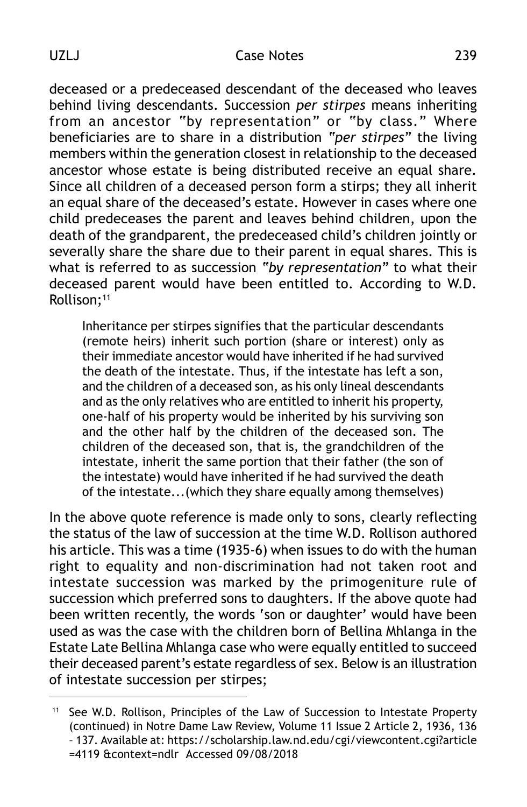deceased or a predeceased descendant of the deceased who leaves behind living descendants. Succession *per stirpes* means inheriting from an ancestor "by representation" or "by class." Where beneficiaries are to share in a distribution *"per stirpes"* the living members within the generation closest in relationship to the deceased ancestor whose estate is being distributed receive an equal share. Since all children of a deceased person form a stirps; they all inherit an equal share of the deceased's estate. However in cases where one child predeceases the parent and leaves behind children, upon the death of the grandparent, the predeceased child's children jointly or severally share the share due to their parent in equal shares. This is what is referred to as succession *"by representation"* to what their deceased parent would have been entitled to. According to W.D. Rollison:<sup>11</sup>

Inheritance per stirpes signifies that the particular descendants (remote heirs) inherit such portion (share or interest) only as their immediate ancestor would have inherited if he had survived the death of the intestate. Thus, if the intestate has left a son, and the children of a deceased son, as his only lineal descendants and as the only relatives who are entitled to inherit his property, one-half of his property would be inherited by his surviving son and the other half by the children of the deceased son. The children of the deceased son, that is, the grandchildren of the intestate, inherit the same portion that their father (the son of the intestate) would have inherited if he had survived the death of the intestate...(which they share equally among themselves)

In the above quote reference is made only to sons, clearly reflecting the status of the law of succession at the time W.D. Rollison authored his article. This was a time (1935-6) when issues to do with the human right to equality and non-discrimination had not taken root and intestate succession was marked by the primogeniture rule of succession which preferred sons to daughters. If the above quote had been written recently, the words 'son or daughter' would have been used as was the case with the children born of Bellina Mhlanga in the Estate Late Bellina Mhlanga case who were equally entitled to succeed their deceased parent's estate regardless of sex. Below is an illustration of intestate succession per stirpes;

<sup>&</sup>lt;sup>11</sup> See W.D. Rollison, Principles of the Law of Succession to Intestate Property (continued) in Notre Dame Law Review, Volume 11 Issue 2 Article 2, 1936, 136 – 137. Available at: https://scholarship.law.nd.edu/cgi/viewcontent.cgi?article =4119 &context=ndlr Accessed 09/08/2018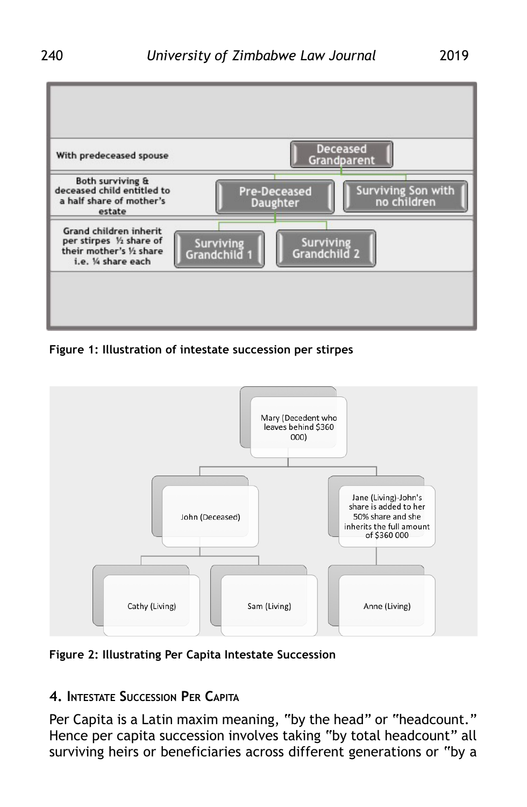

**Figure 1: Illustration of intestate succession per stirpes**



**Figure 2: Illustrating Per Capita Intestate Succession**

## **4. INTESTATE SUCCESSION PER CAPITA**

Per Capita is a Latin maxim meaning, "by the head" or "headcount." Hence per capita succession involves taking "by total headcount" all surviving heirs or beneficiaries across different generations or "by a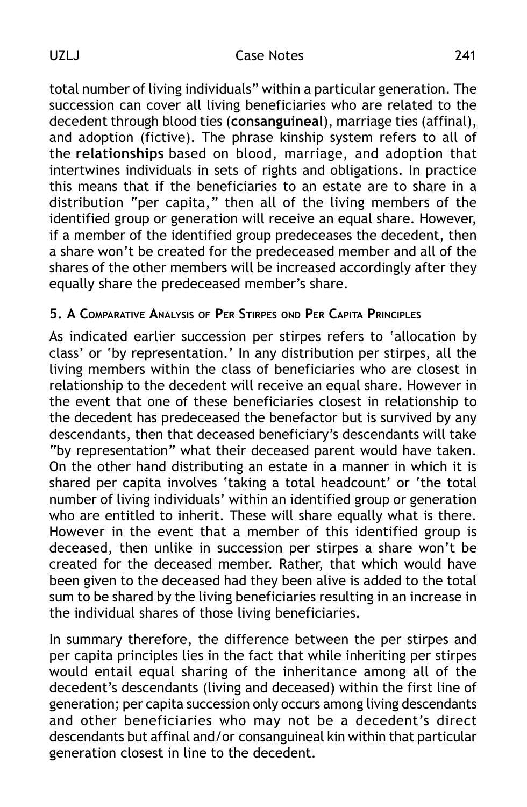#### UZLJ Case Notes 241

total number of living individuals" within a particular generation. The succession can cover all living beneficiaries who are related to the decedent through blood ties (**consanguineal**), marriage ties (affinal), and adoption (fictive). The phrase kinship system refers to all of the **relationships** based on blood, marriage, and adoption that intertwines individuals in sets of rights and obligations. In practice this means that if the beneficiaries to an estate are to share in a distribution "per capita," then all of the living members of the identified group or generation will receive an equal share. However, if a member of the identified group predeceases the decedent, then a share won't be created for the predeceased member and all of the shares of the other members will be increased accordingly after they equally share the predeceased member's share.

## **5. A COMPARATIVE ANALYSIS OF PER STIRPES OND PER CAPITA PRINCIPLES**

As indicated earlier succession per stirpes refers to 'allocation by class' or 'by representation.' In any distribution per stirpes, all the living members within the class of beneficiaries who are closest in relationship to the decedent will receive an equal share. However in the event that one of these beneficiaries closest in relationship to the decedent has predeceased the benefactor but is survived by any descendants, then that deceased beneficiary's descendants will take "by representation" what their deceased parent would have taken. On the other hand distributing an estate in a manner in which it is shared per capita involves 'taking a total headcount' or 'the total number of living individuals' within an identified group or generation who are entitled to inherit. These will share equally what is there. However in the event that a member of this identified group is deceased, then unlike in succession per stirpes a share won't be created for the deceased member. Rather, that which would have been given to the deceased had they been alive is added to the total sum to be shared by the living beneficiaries resulting in an increase in the individual shares of those living beneficiaries.

In summary therefore, the difference between the per stirpes and per capita principles lies in the fact that while inheriting per stirpes would entail equal sharing of the inheritance among all of the decedent's descendants (living and deceased) within the first line of generation; per capita succession only occurs among living descendants and other beneficiaries who may not be a decedent's direct descendants but affinal and/or consanguineal kin within that particular generation closest in line to the decedent.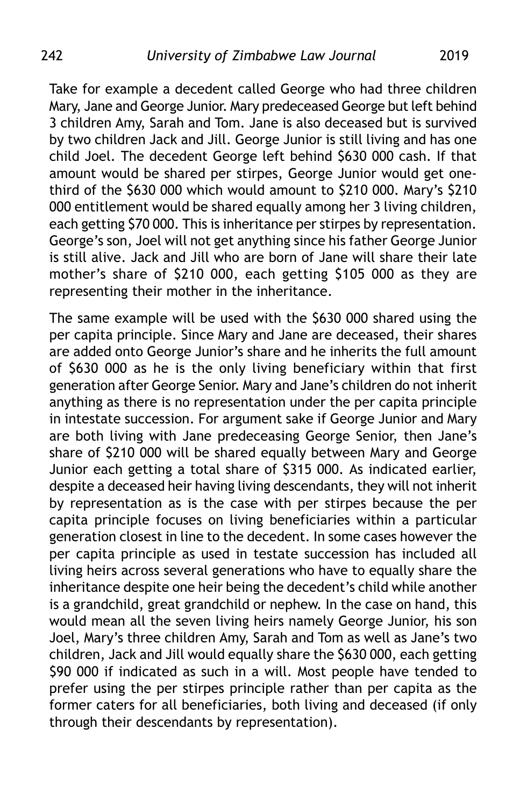Take for example a decedent called George who had three children Mary, Jane and George Junior. Mary predeceased George but left behind 3 children Amy, Sarah and Tom. Jane is also deceased but is survived by two children Jack and Jill. George Junior is still living and has one child Joel. The decedent George left behind \$630 000 cash. If that amount would be shared per stirpes, George Junior would get onethird of the \$630 000 which would amount to \$210 000. Mary's \$210 000 entitlement would be shared equally among her 3 living children, each getting \$70 000. This is inheritance per stirpes by representation. George's son, Joel will not get anything since his father George Junior is still alive. Jack and Jill who are born of Jane will share their late mother's share of \$210 000, each getting \$105 000 as they are representing their mother in the inheritance.

The same example will be used with the \$630 000 shared using the per capita principle. Since Mary and Jane are deceased, their shares are added onto George Junior's share and he inherits the full amount of \$630 000 as he is the only living beneficiary within that first generation after George Senior. Mary and Jane's children do not inherit anything as there is no representation under the per capita principle in intestate succession. For argument sake if George Junior and Mary are both living with Jane predeceasing George Senior, then Jane's share of \$210 000 will be shared equally between Mary and George Junior each getting a total share of \$315 000. As indicated earlier, despite a deceased heir having living descendants, they will not inherit by representation as is the case with per stirpes because the per capita principle focuses on living beneficiaries within a particular generation closest in line to the decedent. In some cases however the per capita principle as used in testate succession has included all living heirs across several generations who have to equally share the inheritance despite one heir being the decedent's child while another is a grandchild, great grandchild or nephew. In the case on hand, this would mean all the seven living heirs namely George Junior, his son Joel, Mary's three children Amy, Sarah and Tom as well as Jane's two children, Jack and Jill would equally share the \$630 000, each getting \$90 000 if indicated as such in a will. Most people have tended to prefer using the per stirpes principle rather than per capita as the former caters for all beneficiaries, both living and deceased (if only through their descendants by representation).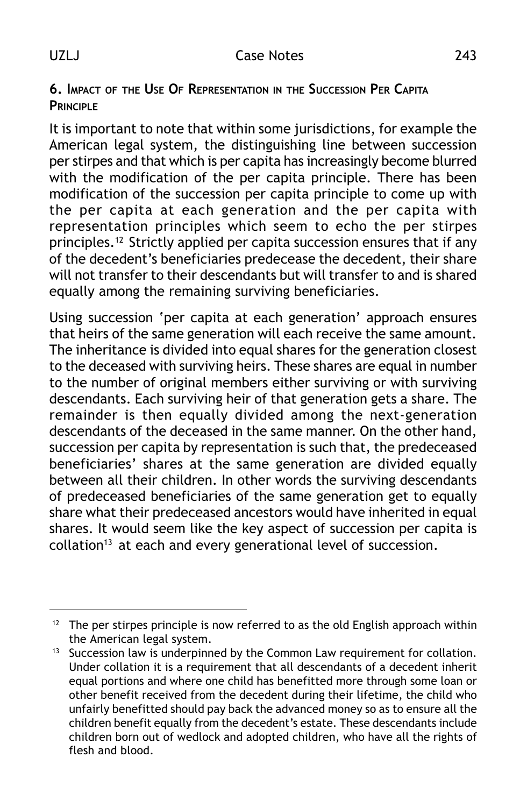## **6. IMPACT OF THE USE OF REPRESENTATION IN THE SUCCESSION PER CAPITA PRINCIPLE**

It is important to note that within some jurisdictions, for example the American legal system, the distinguishing line between succession per stirpes and that which is per capita has increasingly become blurred with the modification of the per capita principle. There has been modification of the succession per capita principle to come up with the per capita at each generation and the per capita with representation principles which seem to echo the per stirpes principles.12 Strictly applied per capita succession ensures that if any of the decedent's beneficiaries predecease the decedent, their share will not transfer to their descendants but will transfer to and is shared equally among the remaining surviving beneficiaries.

Using succession 'per capita at each generation' approach ensures that heirs of the same generation will each receive the same amount. The inheritance is divided into equal shares for the generation closest to the deceased with surviving heirs. These shares are equal in number to the number of original members either surviving or with surviving descendants. Each surviving heir of that generation gets a share. The remainder is then equally divided among the next-generation descendants of the deceased in the same manner. On the other hand, succession per capita by representation is such that, the predeceased beneficiaries' shares at the same generation are divided equally between all their children. In other words the surviving descendants of predeceased beneficiaries of the same generation get to equally share what their predeceased ancestors would have inherited in equal shares. It would seem like the key aspect of succession per capita is collation<sup>13</sup> at each and every generational level of succession.

 $12$  The per stirpes principle is now referred to as the old English approach within the American legal system.

<sup>&</sup>lt;sup>13</sup> Succession law is underpinned by the Common Law requirement for collation. Under collation it is a requirement that all descendants of a decedent inherit equal portions and where one child has benefitted more through some loan or other benefit received from the decedent during their lifetime, the child who unfairly benefitted should pay back the advanced money so as to ensure all the children benefit equally from the decedent's estate. These descendants include children born out of wedlock and adopted children, who have all the rights of flesh and blood.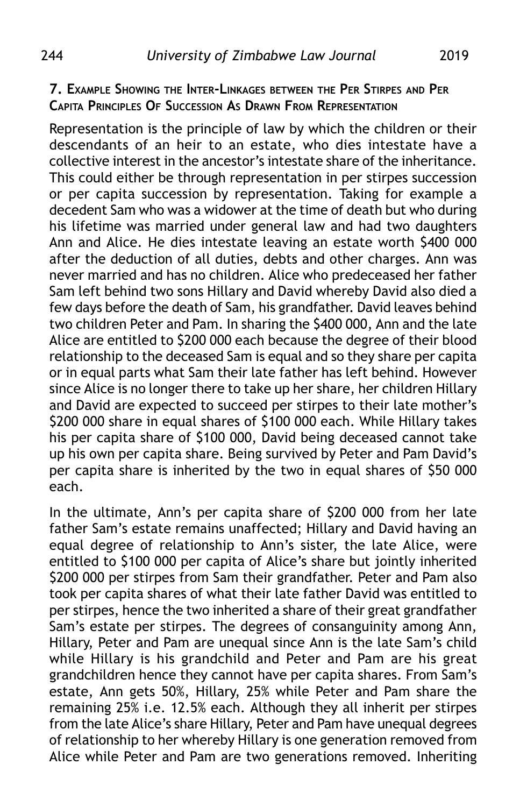#### **7. EXAMPLE SHOWING THE INTER-LINKAGES BETWEEN THE PER STIRPES AND PER CAPITA PRINCIPLES OF SUCCESSION AS DRAWN FROM REPRESENTATION**

Representation is the principle of law by which the children or their descendants of an heir to an estate, who dies intestate have a collective interest in the ancestor's intestate share of the inheritance. This could either be through representation in per stirpes succession or per capita succession by representation. Taking for example a decedent Sam who was a widower at the time of death but who during his lifetime was married under general law and had two daughters Ann and Alice. He dies intestate leaving an estate worth \$400 000 after the deduction of all duties, debts and other charges. Ann was never married and has no children. Alice who predeceased her father Sam left behind two sons Hillary and David whereby David also died a few days before the death of Sam, his grandfather. David leaves behind two children Peter and Pam. In sharing the \$400 000, Ann and the late Alice are entitled to \$200 000 each because the degree of their blood relationship to the deceased Sam is equal and so they share per capita or in equal parts what Sam their late father has left behind. However since Alice is no longer there to take up her share, her children Hillary and David are expected to succeed per stirpes to their late mother's \$200 000 share in equal shares of \$100 000 each. While Hillary takes his per capita share of \$100 000, David being deceased cannot take up his own per capita share. Being survived by Peter and Pam David's per capita share is inherited by the two in equal shares of \$50 000 each.

In the ultimate, Ann's per capita share of \$200 000 from her late father Sam's estate remains unaffected; Hillary and David having an equal degree of relationship to Ann's sister, the late Alice, were entitled to \$100 000 per capita of Alice's share but jointly inherited \$200 000 per stirpes from Sam their grandfather. Peter and Pam also took per capita shares of what their late father David was entitled to per stirpes, hence the two inherited a share of their great grandfather Sam's estate per stirpes. The degrees of consanguinity among Ann, Hillary, Peter and Pam are unequal since Ann is the late Sam's child while Hillary is his grandchild and Peter and Pam are his great grandchildren hence they cannot have per capita shares. From Sam's estate, Ann gets 50%, Hillary, 25% while Peter and Pam share the remaining 25% i.e. 12.5% each. Although they all inherit per stirpes from the late Alice's share Hillary, Peter and Pam have unequal degrees of relationship to her whereby Hillary is one generation removed from Alice while Peter and Pam are two generations removed. Inheriting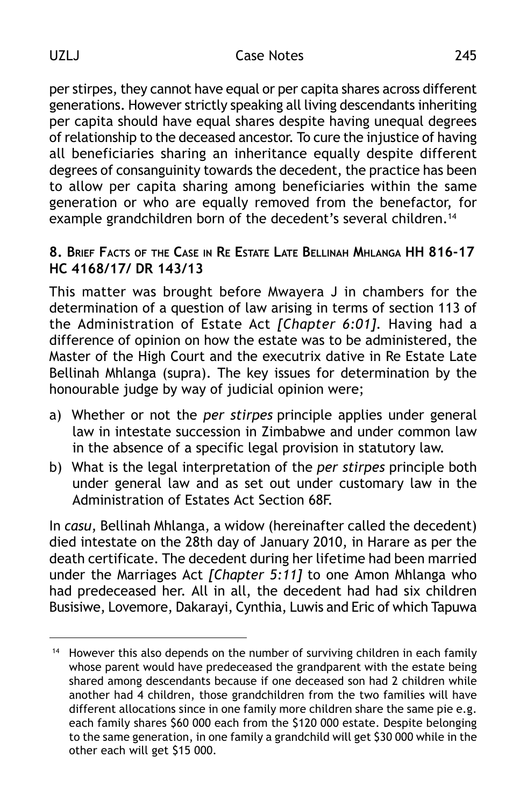per stirpes, they cannot have equal or per capita shares across different generations. However strictly speaking all living descendants inheriting per capita should have equal shares despite having unequal degrees of relationship to the deceased ancestor. To cure the injustice of having all beneficiaries sharing an inheritance equally despite different degrees of consanguinity towards the decedent, the practice has been to allow per capita sharing among beneficiaries within the same generation or who are equally removed from the benefactor, for example grandchildren born of the decedent's several children.<sup>14</sup>

## **8. BRIEF FACTS OF THE CASE IN RE ESTATE LATE BELLINAH MHLANGA HH 816-17 HC 4168/17/ DR 143/13**

This matter was brought before Mwayera J in chambers for the determination of a question of law arising in terms of section 113 of the Administration of Estate Act *[Chapter 6:01].* Having had a difference of opinion on how the estate was to be administered, the Master of the High Court and the executrix dative in Re Estate Late Bellinah Mhlanga (supra). The key issues for determination by the honourable judge by way of judicial opinion were;

- a) Whether or not the *per stirpes* principle applies under general law in intestate succession in Zimbabwe and under common law in the absence of a specific legal provision in statutory law.
- b) What is the legal interpretation of the *per stirpes* principle both under general law and as set out under customary law in the Administration of Estates Act Section 68F.

In *casu*, Bellinah Mhlanga, a widow (hereinafter called the decedent) died intestate on the 28th day of January 2010, in Harare as per the death certificate. The decedent during her lifetime had been married under the Marriages Act *[Chapter 5:11]* to one Amon Mhlanga who had predeceased her. All in all, the decedent had had six children Busisiwe, Lovemore, Dakarayi, Cynthia, Luwis and Eric of which Tapuwa

<sup>&</sup>lt;sup>14</sup> However this also depends on the number of surviving children in each family whose parent would have predeceased the grandparent with the estate being shared among descendants because if one deceased son had 2 children while another had 4 children, those grandchildren from the two families will have different allocations since in one family more children share the same pie e.g. each family shares \$60 000 each from the \$120 000 estate. Despite belonging to the same generation, in one family a grandchild will get \$30 000 while in the other each will get \$15 000.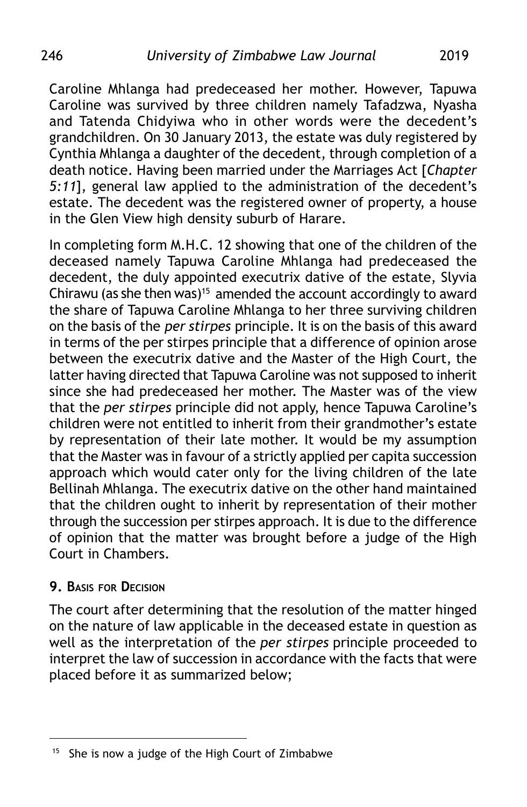Caroline Mhlanga had predeceased her mother. However, Tapuwa Caroline was survived by three children namely Tafadzwa, Nyasha and Tatenda Chidyiwa who in other words were the decedent's grandchildren. On 30 January 2013, the estate was duly registered by Cynthia Mhlanga a daughter of the decedent, through completion of a death notice. Having been married under the Marriages Act [*Chapter 5:11*], general law applied to the administration of the decedent's estate. The decedent was the registered owner of property, a house in the Glen View high density suburb of Harare.

In completing form M.H.C. 12 showing that one of the children of the deceased namely Tapuwa Caroline Mhlanga had predeceased the decedent, the duly appointed executrix dative of the estate, Slyvia Chirawu (as she then was)<sup>15</sup> amended the account accordingly to award the share of Tapuwa Caroline Mhlanga to her three surviving children on the basis of the *per stirpes* principle. It is on the basis of this award in terms of the per stirpes principle that a difference of opinion arose between the executrix dative and the Master of the High Court, the latter having directed that Tapuwa Caroline was not supposed to inherit since she had predeceased her mother. The Master was of the view that the *per stirpes* principle did not apply, hence Tapuwa Caroline's children were not entitled to inherit from their grandmother's estate by representation of their late mother. It would be my assumption that the Master was in favour of a strictly applied per capita succession approach which would cater only for the living children of the late Bellinah Mhlanga. The executrix dative on the other hand maintained that the children ought to inherit by representation of their mother through the succession per stirpes approach. It is due to the difference of opinion that the matter was brought before a judge of the High Court in Chambers.

#### **9. BASIS FOR DECISION**

The court after determining that the resolution of the matter hinged on the nature of law applicable in the deceased estate in question as well as the interpretation of the *per stirpes* principle proceeded to interpret the law of succession in accordance with the facts that were placed before it as summarized below;

<sup>&</sup>lt;sup>15</sup> She is now a judge of the High Court of Zimbabwe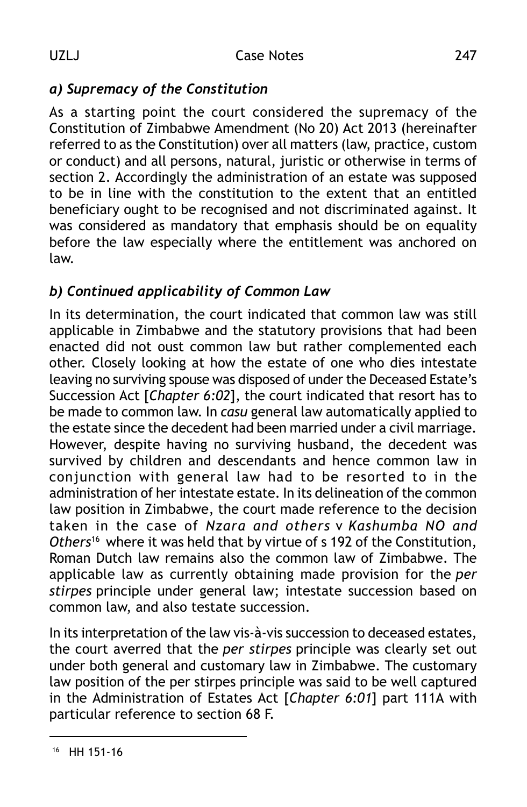# *a) Supremacy of the Constitution*

As a starting point the court considered the supremacy of the Constitution of Zimbabwe Amendment (No 20) Act 2013 (hereinafter referred to as the Constitution) over all matters (law, practice, custom or conduct) and all persons, natural, juristic or otherwise in terms of section 2. Accordingly the administration of an estate was supposed to be in line with the constitution to the extent that an entitled beneficiary ought to be recognised and not discriminated against. It was considered as mandatory that emphasis should be on equality before the law especially where the entitlement was anchored on law.

## *b) Continued applicability of Common Law*

In its determination, the court indicated that common law was still applicable in Zimbabwe and the statutory provisions that had been enacted did not oust common law but rather complemented each other. Closely looking at how the estate of one who dies intestate leaving no surviving spouse was disposed of under the Deceased Estate's Succession Act [*Chapter 6:02*], the court indicated that resort has to be made to common law. In *casu* general law automatically applied to the estate since the decedent had been married under a civil marriage. However, despite having no surviving husband, the decedent was survived by children and descendants and hence common law in conjunction with general law had to be resorted to in the administration of her intestate estate. In its delineation of the common law position in Zimbabwe, the court made reference to the decision taken in the case of *Nzara and others* v *Kashumba NO and Others*<sup>16</sup> where it was held that by virtue of s 192 of the Constitution, Roman Dutch law remains also the common law of Zimbabwe. The applicable law as currently obtaining made provision for the *per stirpes* principle under general law; intestate succession based on common law, and also testate succession.

In its interpretation of the law vis-à-vis succession to deceased estates, the court averred that the *per stirpes* principle was clearly set out under both general and customary law in Zimbabwe. The customary law position of the per stirpes principle was said to be well captured in the Administration of Estates Act [*Chapter 6:01*] part 111A with particular reference to section 68 F.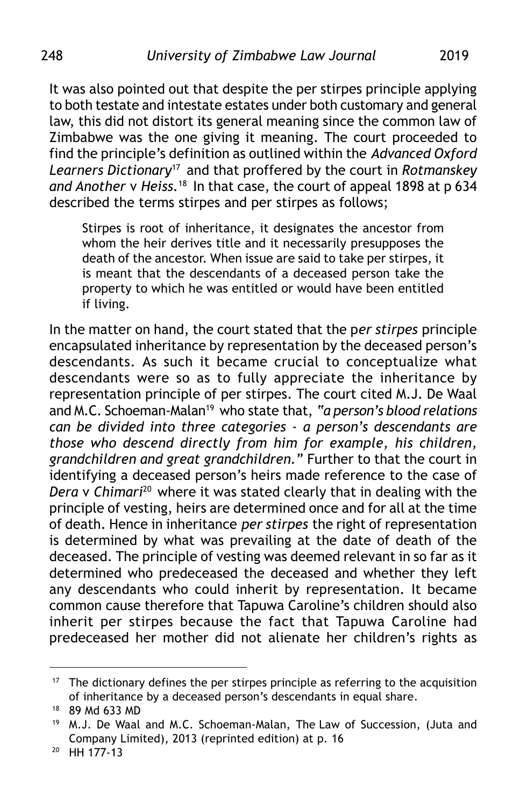It was also pointed out that despite the per stirpes principle applying to both testate and intestate estates under both customary and general law, this did not distort its general meaning since the common law of Zimbabwe was the one giving it meaning. The court proceeded to find the principle's definition as outlined within the *Advanced Oxford Learners Dictionary*<sup>17</sup> and that proffered by the court in *Rotmanskey and Another* v *Heiss.*<sup>18</sup> In that case, the court of appeal 1898 at p 634 described the terms stirpes and per stirpes as follows;

Stirpes is root of inheritance, it designates the ancestor from whom the heir derives title and it necessarily presupposes the death of the ancestor. When issue are said to take per stirpes, it is meant that the descendants of a deceased person take the property to which he was entitled or would have been entitled if living.

In the matter on hand, the court stated that the p*er stirpes* principle encapsulated inheritance by representation by the deceased person's descendants. As such it became crucial to conceptualize what descendants were so as to fully appreciate the inheritance by representation principle of per stirpes. The court cited M.J. De Waal and M.C. Schoeman-Malan19 who state that, *"a person's blood relations can be divided into three categories - a person's descendants are those who descend directly from him for example, his children, grandchildren and great grandchildren."* Further to that the court in identifying a deceased person's heirs made reference to the case of *Dera* v *Chimari*20 where it was stated clearly that in dealing with the principle of vesting, heirs are determined once and for all at the time of death. Hence in inheritance *per stirpes* the right of representation is determined by what was prevailing at the date of death of the deceased. The principle of vesting was deemed relevant in so far as it determined who predeceased the deceased and whether they left any descendants who could inherit by representation. It became common cause therefore that Tapuwa Caroline's children should also inherit per stirpes because the fact that Tapuwa Caroline had predeceased her mother did not alienate her children's rights as

 $17$  The dictionary defines the per stirpes principle as referring to the acquisition of inheritance by a deceased person's descendants in equal share.

<sup>18</sup> 89 Md 633 MD

<sup>19</sup> M.J. De Waal and M.C. Schoeman-Malan, The Law of Succession, (Juta and Company Limited), 2013 (reprinted edition) at p. 16

<sup>20</sup> HH 177-13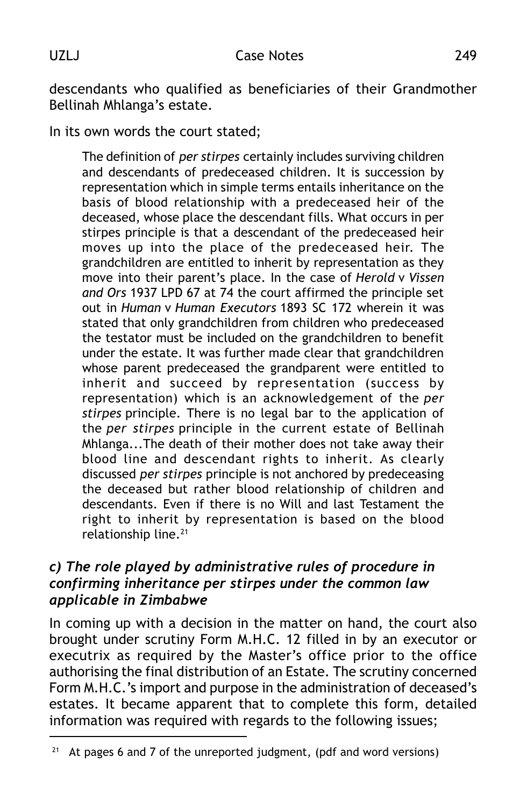descendants who qualified as beneficiaries of their Grandmother Bellinah Mhlanga's estate.

In its own words the court stated;

The definition of *per stirpes* certainly includes surviving children and descendants of predeceased children. It is succession by representation which in simple terms entails inheritance on the basis of blood relationship with a predeceased heir of the deceased, whose place the descendant fills. What occurs in per stirpes principle is that a descendant of the predeceased heir moves up into the place of the predeceased heir. The grandchildren are entitled to inherit by representation as they move into their parent's place. In the case of *Herold* v *Vissen and Ors* 1937 LPD 67 at 74 the court affirmed the principle set out in *Human* v *Human Executors* 1893 SC 172 wherein it was stated that only grandchildren from children who predeceased the testator must be included on the grandchildren to benefit under the estate. It was further made clear that grandchildren whose parent predeceased the grandparent were entitled to inherit and succeed by representation (success by representation) which is an acknowledgement of the *per stirpes* principle. There is no legal bar to the application of the *per stirpes* principle in the current estate of Bellinah Mhlanga...The death of their mother does not take away their blood line and descendant rights to inherit. As clearly discussed *per stirpes* principle is not anchored by predeceasing the deceased but rather blood relationship of children and descendants. Even if there is no Will and last Testament the right to inherit by representation is based on the blood relationship line.<sup>21</sup>

## *c) The role played by administrative rules of procedure in confirming inheritance per stirpes under the common law applicable in Zimbabwe*

In coming up with a decision in the matter on hand, the court also brought under scrutiny Form M.H.C. 12 filled in by an executor or executrix as required by the Master's office prior to the office authorising the final distribution of an Estate. The scrutiny concerned Form M.H.C.'s import and purpose in the administration of deceased's estates. It became apparent that to complete this form, detailed information was required with regards to the following issues;

<sup>&</sup>lt;sup>21</sup> At pages 6 and 7 of the unreported judgment, (pdf and word versions)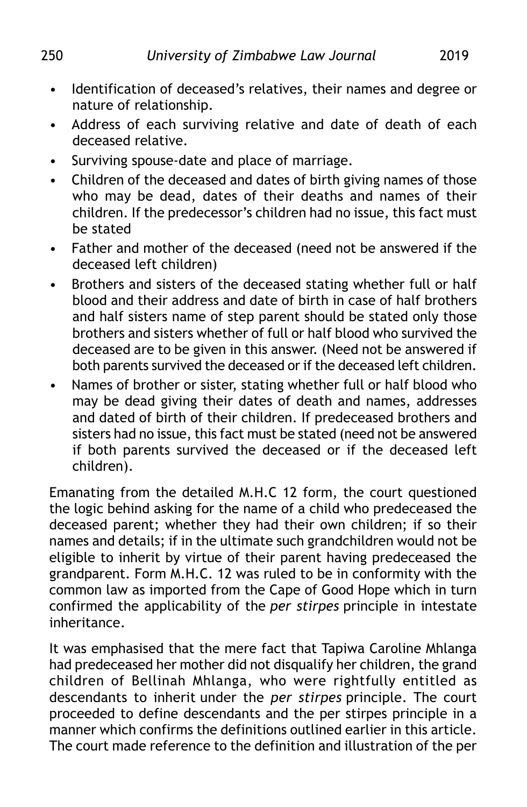- Identification of deceased's relatives, their names and degree or nature of relationship.
- Address of each surviving relative and date of death of each deceased relative.
- Surviving spouse-date and place of marriage.
- Children of the deceased and dates of birth giving names of those who may be dead, dates of their deaths and names of their children. If the predecessor's children had no issue, this fact must be stated
- Father and mother of the deceased (need not be answered if the deceased left children)
- Brothers and sisters of the deceased stating whether full or half blood and their address and date of birth in case of half brothers and half sisters name of step parent should be stated only those brothers and sisters whether of full or half blood who survived the deceased are to be given in this answer. (Need not be answered if both parents survived the deceased or if the deceased left children.
- Names of brother or sister, stating whether full or half blood who may be dead giving their dates of death and names, addresses and dated of birth of their children. If predeceased brothers and sisters had no issue, this fact must be stated (need not be answered if both parents survived the deceased or if the deceased left children).

Emanating from the detailed M.H.C 12 form, the court questioned the logic behind asking for the name of a child who predeceased the deceased parent; whether they had their own children; if so their names and details; if in the ultimate such grandchildren would not be eligible to inherit by virtue of their parent having predeceased the grandparent. Form M.H.C. 12 was ruled to be in conformity with the common law as imported from the Cape of Good Hope which in turn confirmed the applicability of the *per stirpes* principle in intestate inheritance.

It was emphasised that the mere fact that Tapiwa Caroline Mhlanga had predeceased her mother did not disqualify her children, the grand children of Bellinah Mhlanga, who were rightfully entitled as descendants to inherit under the *per stirpes* principle. The court proceeded to define descendants and the per stirpes principle in a manner which confirms the definitions outlined earlier in this article. The court made reference to the definition and illustration of the per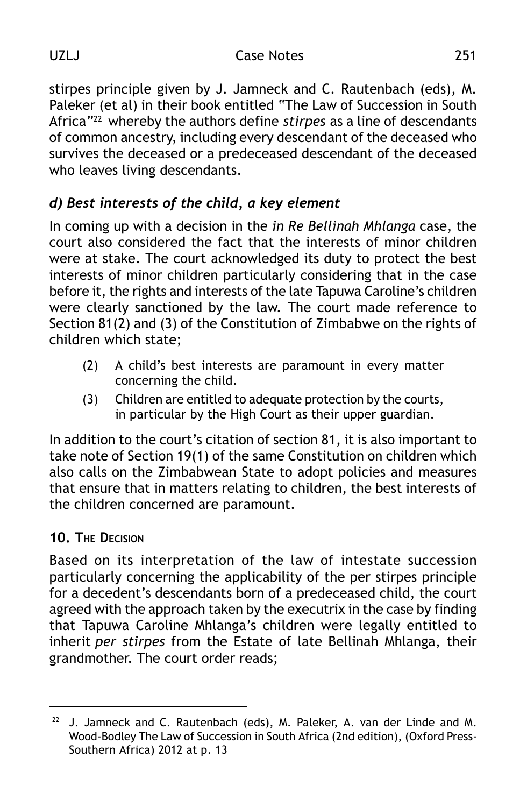stirpes principle given by J. Jamneck and C. Rautenbach (eds), M. Paleker (et al) in their book entitled "The Law of Succession in South Africa"22 whereby the authors define *stirpes* as a line of descendants of common ancestry, including every descendant of the deceased who survives the deceased or a predeceased descendant of the deceased who leaves living descendants.

# *d) Best interests of the child, a key element*

In coming up with a decision in the *in Re Bellinah Mhlanga* case, the court also considered the fact that the interests of minor children were at stake. The court acknowledged its duty to protect the best interests of minor children particularly considering that in the case before it, the rights and interests of the late Tapuwa Caroline's children were clearly sanctioned by the law. The court made reference to Section 81(2) and (3) of the Constitution of Zimbabwe on the rights of children which state;

- (2) A child's best interests are paramount in every matter concerning the child.
- (3) Children are entitled to adequate protection by the courts, in particular by the High Court as their upper guardian.

In addition to the court's citation of section 81, it is also important to take note of Section 19(1) of the same Constitution on children which also calls on the Zimbabwean State to adopt policies and measures that ensure that in matters relating to children, the best interests of the children concerned are paramount.

## **10. THE DECISION**

Based on its interpretation of the law of intestate succession particularly concerning the applicability of the per stirpes principle for a decedent's descendants born of a predeceased child, the court agreed with the approach taken by the executrix in the case by finding that Tapuwa Caroline Mhlanga's children were legally entitled to inherit *per stirpes* from the Estate of late Bellinah Mhlanga, their grandmother. The court order reads;

 $22$  J. Jamneck and C. Rautenbach (eds), M. Paleker, A. van der Linde and M. Wood-Bodley The Law of Succession in South Africa (2nd edition), (Oxford Press-Southern Africa) 2012 at p. 13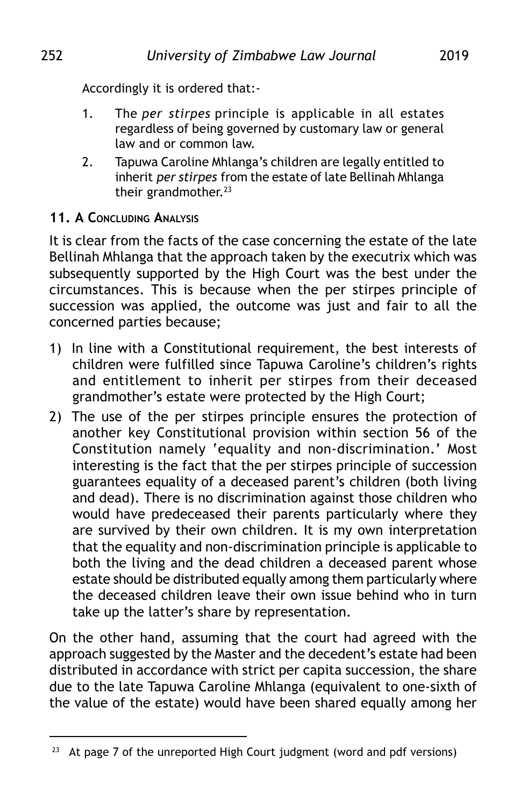Accordingly it is ordered that:-

- 1. The *per stirpes* principle is applicable in all estates regardless of being governed by customary law or general law and or common law.
- 2. Tapuwa Caroline Mhlanga's children are legally entitled to inherit *per stirpes* from the estate of late Bellinah Mhlanga their grandmother.<sup>23</sup>

## **11. A CONCLUDING ANALYSIS**

It is clear from the facts of the case concerning the estate of the late Bellinah Mhlanga that the approach taken by the executrix which was subsequently supported by the High Court was the best under the circumstances. This is because when the per stirpes principle of succession was applied, the outcome was just and fair to all the concerned parties because;

- 1) In line with a Constitutional requirement, the best interests of children were fulfilled since Tapuwa Caroline's children's rights and entitlement to inherit per stirpes from their deceased grandmother's estate were protected by the High Court;
- 2) The use of the per stirpes principle ensures the protection of another key Constitutional provision within section 56 of the Constitution namely 'equality and non-discrimination.' Most interesting is the fact that the per stirpes principle of succession guarantees equality of a deceased parent's children (both living and dead). There is no discrimination against those children who would have predeceased their parents particularly where they are survived by their own children. It is my own interpretation that the equality and non-discrimination principle is applicable to both the living and the dead children a deceased parent whose estate should be distributed equally among them particularly where the deceased children leave their own issue behind who in turn take up the latter's share by representation.

On the other hand, assuming that the court had agreed with the approach suggested by the Master and the decedent's estate had been distributed in accordance with strict per capita succession, the share due to the late Tapuwa Caroline Mhlanga (equivalent to one-sixth of the value of the estate) would have been shared equally among her

<sup>&</sup>lt;sup>23</sup> At page 7 of the unreported High Court judgment (word and pdf versions)